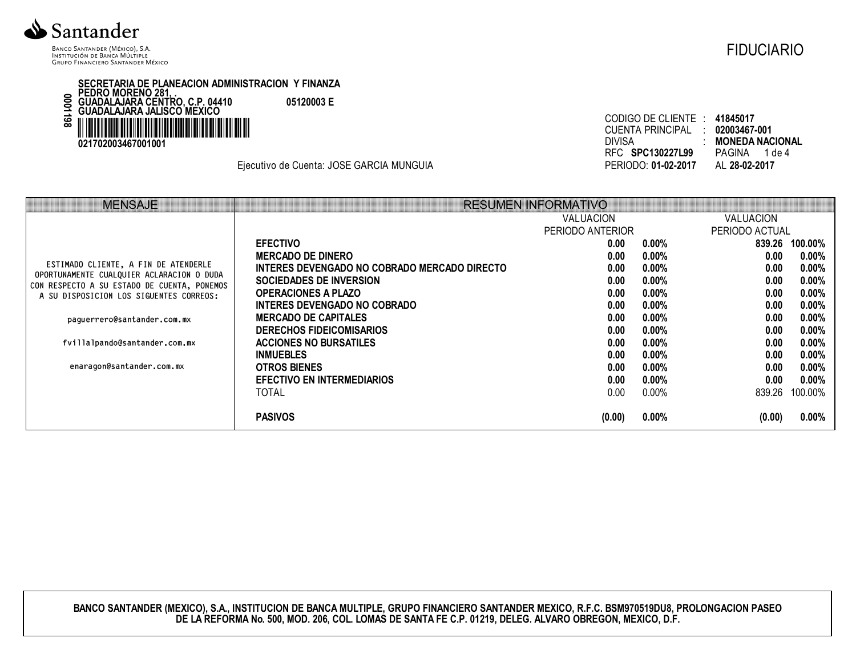

BANCO SANTANDER (MÉXICO), S.A. INSTITUCIÓN DE BANCA MÚLTIPLE **GRUPO FINANCIERO SANTANDER MÉXICO** 

SECRETARIA DE PLANEACION ADMINISTRACION Y FINANZA<br>PEDRO MORENO 281, .<br>GUADALAJARA CENTRO, C.P. 04410 05120003 E<br>GUADALAJARA JALISCO MEXICO 8611000 IIIIIIIIIIIIIII 021702003467001001

Ejecutivo de Cuenta: JOSE GARCIA MUNGUIA

| CODIGO DE CLIENTE : 41845017    |
|---------------------------------|
| CUENTA PRINCIPAL : 02003467-001 |
| : MONEDA NACIONAL               |
| PAGINA 1 de 4                   |
| AL 28-02-2017                   |
|                                 |

| MENSAJE                                                                                  |                                              | <b>RESUMEN INFORMATIVO</b> |          |                  |                |
|------------------------------------------------------------------------------------------|----------------------------------------------|----------------------------|----------|------------------|----------------|
|                                                                                          |                                              | <b>VALUACION</b>           |          | <b>VALUACION</b> |                |
|                                                                                          |                                              | PERIODO ANTERIOR           |          | PERIODO ACTUAL   |                |
|                                                                                          | <b>EFECTIVO</b>                              | 0.00 <sub>1</sub>          | $0.00\%$ |                  | 839.26 100.00% |
|                                                                                          | <b>MERCADO DE DINERO</b>                     | 0.00                       | $0.00\%$ | 0.00             | $0.00\%$       |
| ESTIMADO CLIENTE, A FIN DE ATENDERLE                                                     | INTERES DEVENGADO NO COBRADO MERCADO DIRECTO | 0.00                       | $0.00\%$ | 0.00             | $0.00\%$       |
| OPORTUNAMENTE CUALQUIER ACLARACION O DUDA<br>CON RESPECTO A SU ESTADO DE CUENTA, PONEMOS | <b>SOCIEDADES DE INVERSION</b>               | 0.00                       | $0.00\%$ | 0.00             | $0.00\%$       |
| A SU DISPOSICION LOS SIGUENTES CORREOS:                                                  | <b>OPERACIONES A PLAZO</b>                   | 0.00                       | $0.00\%$ | 0.00             | $0.00\%$       |
|                                                                                          | INTERES DEVENGADO NO COBRADO                 | 0.00                       | $0.00\%$ | 0.00             | $0.00\%$       |
| paguerrero@santander.com.mx                                                              | <b>MERCADO DE CAPITALES</b>                  | 0.00                       | $0.00\%$ | 0.00             | $0.00\%$       |
|                                                                                          | <b>DERECHOS FIDEICOMISARIOS</b>              | 0.00                       | $0.00\%$ | 0.00             | $0.00\%$       |
| fvillalpando@santander.com.mx                                                            | <b>ACCIONES NO BURSATILES</b>                | 0.00                       | $0.00\%$ | 0.00             | $0.00\%$       |
|                                                                                          | <b>INMUEBLES</b>                             | 0.00                       | $0.00\%$ | 0.00             | $0.00\%$       |
| enaragon@santander.com.mx                                                                | <b>OTROS BIENES</b>                          | 0.00                       | $0.00\%$ | 0.00             | $0.00\%$       |
|                                                                                          | EFECTIVO EN INTERMEDIARIOS                   | 0.00                       | $0.00\%$ | 0.00             | $0.00\%$       |
|                                                                                          | TOTAL                                        | 0.00                       | 0.00%    | 839.26           | 100.00%        |
|                                                                                          | <b>PASIVOS</b>                               | (0.00)                     | $0.00\%$ | (0.00)           | $0.00\%$       |

BANCO SANTANDER (MEXICO), S.A., INSTITUCION DE BANCA MULTIPLE, GRUPO FINANCIERO SANTANDER MEXICO, R.F.C. BSM970519DU8, PROLONGACION PASEO<br>DE LA REFORMA No. 500, MOD. 206, COL. LOMAS DE SANTA FE C.P. 01219, DELEG. ALVARO OB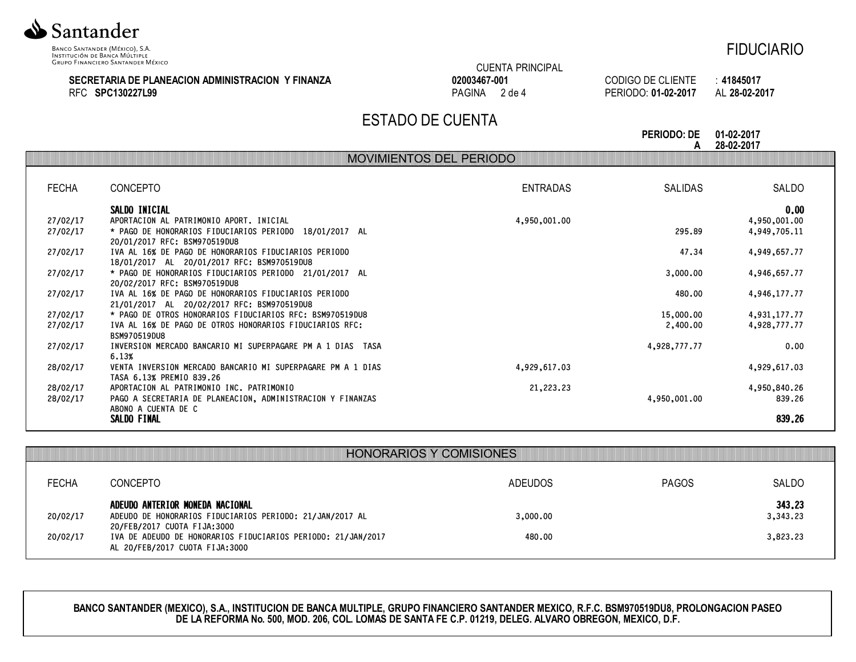

INSTITUCIÓN DE BANCA MÚLTIPLE **GRUPO FINANCIERO SANTANDER MÉXICO** 

# FIDUCIARIO

#### **SECRETARIA DE PLANEACION ADMINISTRACION Y FINANZA** RFC **SPC130227L99**

### CUENTA PRINCIPAL **02003467-001** PAGINA 2 de 4

CODIGO DE CLIENTE : **41845017** PERIODO: **01-02-2017** AL **28-02-2017**

# ESTADO DE CUENTA

**PERIODO: DE A 01-02-2017 28-02-2017**

|              |                                                                                                    | MOVIMENTOS DE PERIODO |                |              |
|--------------|----------------------------------------------------------------------------------------------------|-----------------------|----------------|--------------|
|              |                                                                                                    |                       |                |              |
| <b>FECHA</b> | <b>CONCEPTO</b>                                                                                    | <b>ENTRADAS</b>       | <b>SALIDAS</b> | SALDO        |
|              | SALDO INICIAL                                                                                      |                       |                | 0.00         |
| 27/02/17     | APORTACION AL PATRIMONIO APORT. INICIAL                                                            | 4,950,001.00          |                | 4,950,001.00 |
| 27/02/17     | * PAGO DE HONORARIOS FIDUCIARIOS PERIODO 18/01/2017 AL<br>20/01/2017 RFC: BSM970519DU8             |                       | 295.89         | 4,949,705.11 |
| 27/02/17     | IVA AL 16% DE PAGO DE HONORARIOS FIDUCIARIOS PERIODO<br>18/01/2017 AL 20/01/2017 RFC: BSM970519DU8 |                       | 47.34          | 4,949,657.77 |
| 27/02/17     | * PAGO DE HONORARIOS FIDUCIARIOS PERIODO 21/01/2017 AL<br>20/02/2017 RFC: BSM970519DU8             |                       | 3,000.00       | 4,946,657.77 |
| 27/02/17     | IVA AL 16% DE PAGO DE HONORARIOS FIDUCIARIOS PERIODO<br>21/01/2017 AL 20/02/2017 RFC: BSM970519DU8 |                       | 480.00         | 4,946,177,77 |
| 27/02/17     | * PAGO DE OTROS HONORARIOS FIDUCIARIOS RFC: BSM970519DU8                                           |                       | 15,000.00      | 4,931,177,77 |
| 27/02/17     | IVA AL 16% DE PAGO DE OTROS HONORARIOS FIDUCIARIOS RFC:<br>BSM970519DU8                            |                       | 2,400.00       | 4,928,777.77 |
| 27/02/17     | INVERSION MERCADO BANCARIO MI SUPERPAGARE PM A 1 DIAS TASA<br>6.13%                                |                       | 4,928,777.77   | 0.00         |
| 28/02/17     | VENTA INVERSION MERCADO BANCARIO MI SUPERPAGARE PM A 1 DIAS<br>TASA 6.13% PREMIO 839.26            | 4,929,617.03          |                | 4,929,617.03 |
| 28/02/17     | APORTACION AL PATRIMONIO INC. PATRIMONIO                                                           | 21, 223, 23           |                | 4,950,840.26 |
| 28/02/17     | PAGO A SECRETARIA DE PLANEACION, ADMINISTRACION Y FINANZAS<br>ABONO A CUENTA DE C                  |                       | 4,950,001.00   | 839.26       |
|              | SALDO FINAL                                                                                        |                       |                | 839.26       |

|              | <b>HONORARIOS Y COMISIONES</b>                                                                                             |          |              |                    |
|--------------|----------------------------------------------------------------------------------------------------------------------------|----------|--------------|--------------------|
| <b>FECHA</b> | <b>CONCEPTO</b>                                                                                                            | ADEUDOS  | <b>PAGOS</b> | SALDO              |
| 20/02/17     | ADEUDO ANTERIOR MONEDA NACIONAL<br>ADEUDO DE HONORARIOS FIDUCIARIOS PERIODO: 21/JAN/2017 AL<br>20/FEB/2017 CUOTA FIJA:3000 | 3,000.00 |              | 343,23<br>3,343.23 |
| 20/02/17     | IVA DE ADEUDO DE HONORARIOS FIDUCIARIOS PERIODO: 21/JAN/2017<br>AL 20/FEB/2017 CUOTA FIJA:3000                             | 480.00   |              | 3,823.23           |

**BANCO SANTANDER (MEXICO), S.A., INSTITUCION DE BANCA MULTIPLE, GRUPO FINANCIERO SANTANDER MEXICO, R.F.C. BSM970519DU8, PROLONGACION PASEO DE LA REFORMA No. 500, MOD. 206, COL. LOMAS DE SANTA FE C.P. 01219, DELEG. ALVARO OBREGON, MEXICO, D.F.**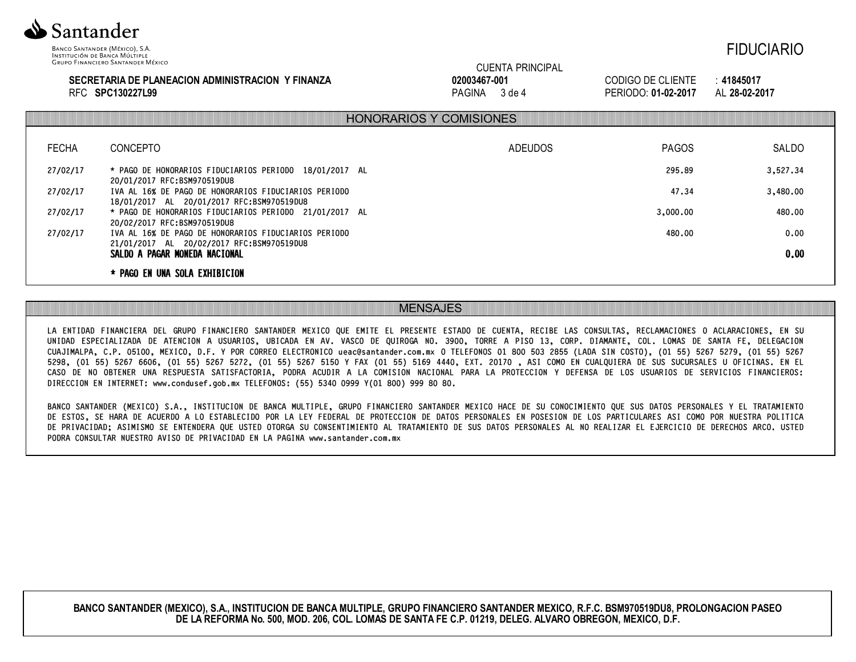

INSTITUCIÓN DE BANCA MÚLTIPLE **GRUPO FINANCIERO SANTANDER MÉXICO** 

#### **SECRETARIA DE PLANEACION ADMINISTRACION Y FINANZA** RFC **SPC130227L99**

## CUENTA PRINCIPAL **02003467-001** PAGINA 3 de 4

CODIGO DE CLIENTE : **41845017** PERIODO: **01-02-2017** AL **28-02-2017**

|              |                                                                                                   | HONORARIOS Y COMISIONES |              |          |
|--------------|---------------------------------------------------------------------------------------------------|-------------------------|--------------|----------|
| <b>FECHA</b> | <b>CONCEPTO</b>                                                                                   | <b>ADEUDOS</b>          | <b>PAGOS</b> | SALDO    |
| 27/02/17     | * PAGO DE HONORARIOS FIDUCIARIOS PERIODO 18/01/2017 AL<br>20/01/2017 RFC:BSM970519DU8             |                         | 295.89       | 3,527.34 |
| 27/02/17     | IVA AL 16% DE PAGO DE HONORARIOS FIDUCIARIOS PERIODO<br>18/01/2017 AL 20/01/2017 RFC:BSM970519DU8 |                         | 47.34        | 3,480.00 |
| 27/02/17     | * PAGO DE HONORARIOS FIDUCIARIOS PERIODO 21/01/2017 AL<br>20/02/2017 RFC:BSM970519DU8             |                         | 3,000,00     | 480.00   |
| 27/02/17     | IVA AL 16% DE PAGO DE HONORARIOS FIDUCIARIOS PERIODO<br>21/01/2017 AL 20/02/2017 RFC:BSM970519DU8 |                         | 480.00       | 0.00     |
|              | SALDO A PAGAR MONEDA NACIONAL                                                                     |                         |              | 0.00     |
|              | * PAGO EN UNA SOLA EXHIBICION                                                                     |                         |              |          |

## MENSAJES

LA ENTIDAD FINANCIERA DEL GRUPO FINANCIERO SANTANDER MEXICO QUE EMITE EL PRESENTE ESTADO DE CUENTA, RECIBE LAS CONSULTAS, RECLAMACIONES O ACLARACIONES, EN SU UNIDAD ESPECIALIZADA DE ATENCION A USUARIOS, UBICADA EN AV. VASCO DE QUIROGA NO. 3900, TORRE A PISO 13, CORP. DIAMANTE, COL. LOMAS DE SANTA FE, DELEGACION CUAJIMALPA, C.P. 05100, MEXICO, D.F. Y POR CORREO ELECTRONICO ueac@santander.com.mx O TELEFONOS 01 800 503 2855 (LADA SIN COSTO), (01 55) 5267 5279, (01 55) 5267 5298, (01 55) 5267 6606, (01 55) 5267 5272, (01 55) 5267 5150 Y FAX (01 55) 5169 4440, EXT. 20170 , ASI COMO EN CUALQUIERA DE SUS SUCURSALES U OFICINAS. EN EL CASO DE NO OBTENER UNA RESPUESTA SATISFACTORIA, PODRA ACUDIR A LA COMISION NACIONAL PARA LA PROTECCION Y DEFENSA DE LOS USUARIOS DE SERVICIOS FINANCIEROS: DIRECCION EN INTERNET: www.condusef.gob.mx TELEFONOS: (55) 5340 0999 Y(01 800) 999 80 80.

BANCO SANTANDER (MEXICO) S.A., INSTITUCION DE BANCA MULTIPLE, GRUPO FINANCIERO SANTANDER MEXICO HACE DE SU CONOCIMIENTO QUE SUS DATOS PERSONALES Y EL TRATAMIENTO DE ESTOS, SE HARA DE ACUERDO A LO ESTABLECIDO POR LA LEY FEDERAL DE PROTECCION DE DATOS PERSONALES EN POSESION DE LOS PARTICULARES ASI COMO POR NUESTRA POLITICA DE PRIVACIDAD; ASIMISMO SE ENTENDERA QUE USTED OTORGA SU CONSENTIMIENTO AL TRATAMIENTO DE SUS DATOS PERSONALES AL NO REALIZAR EL EJERCICIO DE DERECHOS ARCO. USTED PODRA CONSULTAR NUESTRO AVISO DE PRIVACIDAD EN LA PAGINA www.santander.com.mx

**BANCO SANTANDER (MEXICO), S.A., INSTITUCION DE BANCA MULTIPLE, GRUPO FINANCIERO SANTANDER MEXICO, R.F.C. BSM970519DU8, PROLONGACION PASEO DE LA REFORMA No. 500, MOD. 206, COL. LOMAS DE SANTA FE C.P. 01219, DELEG. ALVARO OBREGON, MEXICO, D.F.**